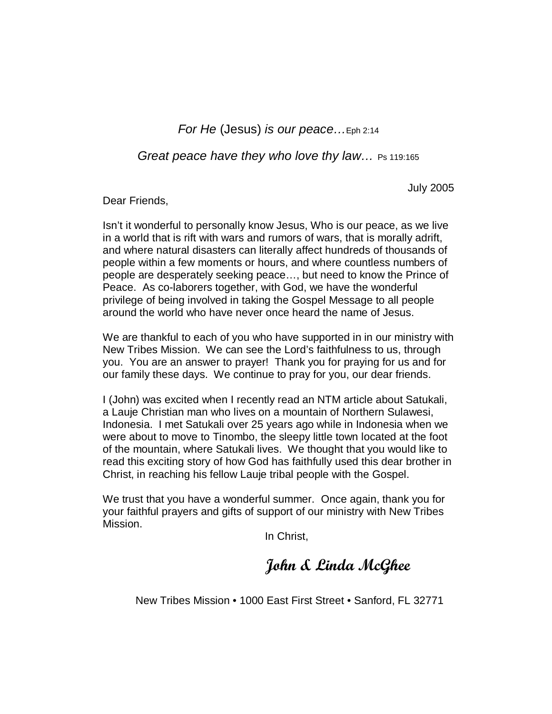For He (Jesus) is our peace…Eph 2:14

Great peace have they who love thy law... Ps 119:165

July 2005

Dear Friends,

Isn't it wonderful to personally know Jesus, Who is our peace, as we live in a world that is rift with wars and rumors of wars, that is morally adrift, and where natural disasters can literally affect hundreds of thousands of people within a few moments or hours, and where countless numbers of people are desperately seeking peace…, but need to know the Prince of Peace. As co-laborers together, with God, we have the wonderful privilege of being involved in taking the Gospel Message to all people around the world who have never once heard the name of Jesus.

We are thankful to each of you who have supported in in our ministry with New Tribes Mission. We can see the Lord's faithfulness to us, through you. You are an answer to prayer! Thank you for praying for us and for our family these days. We continue to pray for you, our dear friends.

I (John) was excited when I recently read an NTM article about Satukali, a Lauje Christian man who lives on a mountain of Northern Sulawesi, Indonesia. I met Satukali over 25 years ago while in Indonesia when we were about to move to Tinombo, the sleepy little town located at the foot of the mountain, where Satukali lives. We thought that you would like to read this exciting story of how God has faithfully used this dear brother in Christ, in reaching his fellow Lauje tribal people with the Gospel.

We trust that you have a wonderful summer. Once again, thank you for your faithful prayers and gifts of support of our ministry with New Tribes Mission.

In Christ,

John & Linda McGhee

New Tribes Mission • 1000 East First Street • Sanford, FL 32771